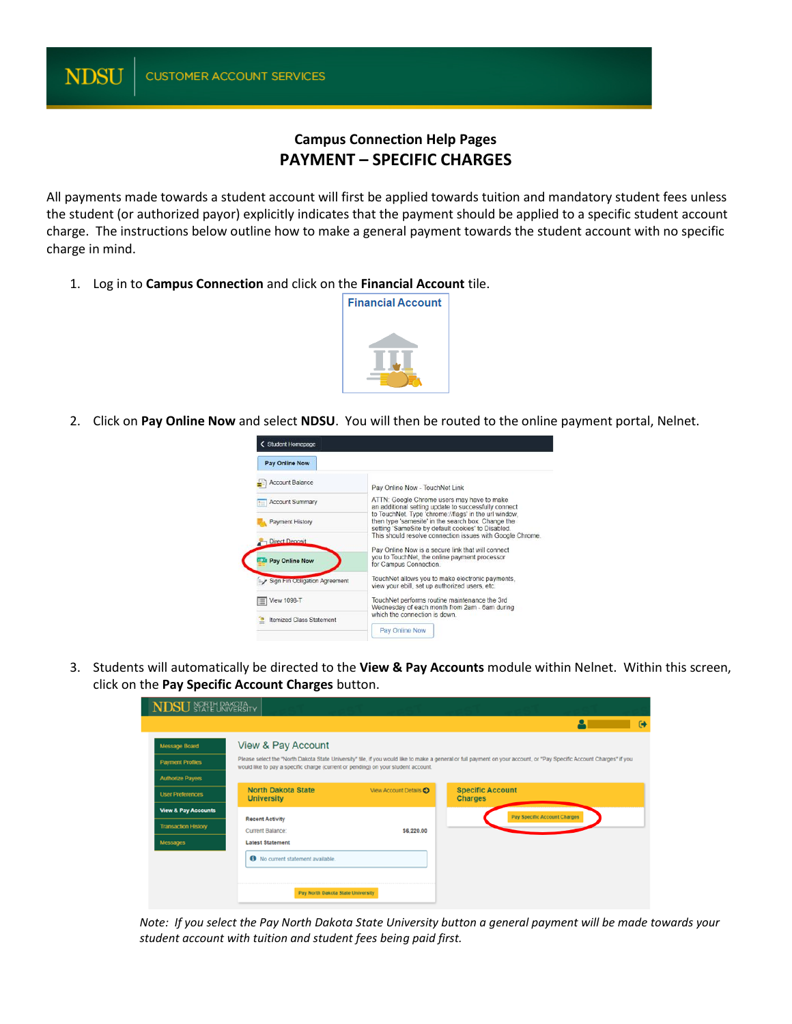## **Campus Connection Help Pages PAYMENT – SPECIFIC CHARGES**

All payments made towards a student account will first be applied towards tuition and mandatory student fees unless the student (or authorized payor) explicitly indicates that the payment should be applied to a specific student account charge. The instructions below outline how to make a general payment towards the student account with no specific charge in mind.

1. Log in to **Campus Connection** and click on the **Financial Account** tile.



2. Click on **Pay Online Now** and select **NDSU**. You will then be routed to the online payment portal, Nelnet.

| < Student Homepage              |                                                                                                                                                                   |  |
|---------------------------------|-------------------------------------------------------------------------------------------------------------------------------------------------------------------|--|
| Pay Online Now                  |                                                                                                                                                                   |  |
| Account Balance                 | Pay Online Now - TouchNet Link                                                                                                                                    |  |
| <b>Account Summary</b>          | ATTN: Google Chrome users may have to make<br>an additional setting update to successfully connect                                                                |  |
| <b>Payment History</b>          | to TouchNet. Type 'chrome://flags' in the url window.<br>then type 'samesite' in the search box. Change the<br>setting 'SameSite by default cookies' to Disabled. |  |
| Direct Deposit                  | This should resolve connection issues with Google Chrome.                                                                                                         |  |
| <b>Pay Online Now</b>           | Pay Online Now is a secure link that will connect<br>you to TouchNet, the online payment processor<br>for Campus Connection.                                      |  |
| Sign Fin Obligation Agreement   | TouchNet allows you to make electronic payments.<br>view your ebill, set up authorized users, etc.                                                                |  |
| <b>View 1098-T</b>              | TouchNet performs routine maintenance the 3rd<br>Wednesday of each month from 2am - 6am during                                                                    |  |
| <b>Itemized Class Statement</b> | which the connection is down.                                                                                                                                     |  |
|                                 | Pay Online Now                                                                                                                                                    |  |

3. Students will automatically be directed to the **View & Pay Accounts** module within Nelnet. Within this screen, click on the **Pay Specific Account Charges** button.

| <b>NDSU</b> STATE UNIVERSITY   |                                                                                                                                                                                                                                                            |   |     |
|--------------------------------|------------------------------------------------------------------------------------------------------------------------------------------------------------------------------------------------------------------------------------------------------------|---|-----|
|                                |                                                                                                                                                                                                                                                            | o | (a) |
| Message Board                  | <b>View &amp; Pay Account</b>                                                                                                                                                                                                                              |   |     |
| <b>Payment Profiles</b>        | Please select the "North Dakota State University" tile, if you would like to make a general or full payment on your account, or "Pay Specific Account Charges" if you<br>would like to pay a specific charge (current or pending) on your student account. |   |     |
| <b>Authorize Payers</b>        |                                                                                                                                                                                                                                                            |   |     |
| <b>User Preferences</b>        | <b>North Dakota State</b><br><b>Specific Account</b><br>View Account Details O<br><b>Charges</b><br><b>University</b>                                                                                                                                      |   |     |
| <b>View &amp; Pay Accounts</b> | Pay Specific Account Charges<br><b>Recent Activity</b>                                                                                                                                                                                                     |   |     |
| <b>Transaction History</b>     | Current Balance:<br>\$6,220.00                                                                                                                                                                                                                             |   |     |
| Messages                       | <b>Latest Statement</b>                                                                                                                                                                                                                                    |   |     |
|                                | 6 No current statement available.                                                                                                                                                                                                                          |   |     |
|                                | Pay North Dakota State University                                                                                                                                                                                                                          |   |     |

*Note: If you select the Pay North Dakota State University button a general payment will be made towards your student account with tuition and student fees being paid first.*